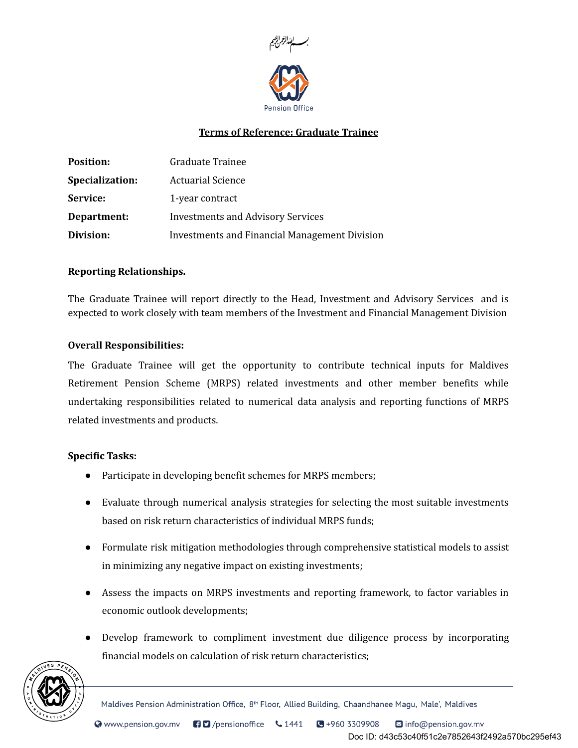

# Terms of Reference: Graduate Trainee

| <b>Position:</b> | Graduate Trainee                                     |
|------------------|------------------------------------------------------|
| Specialization:  | <b>Actuarial Science</b>                             |
| Service:         | 1-year contract                                      |
| Department:      | <b>Investments and Advisory Services</b>             |
| Division:        | <b>Investments and Financial Management Division</b> |

## Reporting Relationships.

The Graduate Trainee will report directly to the Head, Investment and Advisory Services and is expected to work closely with team members of the Investment and Financial Management Division

## Overall Responsibilities:

The Graduate Trainee will get the opportunity to contribute technical inputs for Maldives Retirement Pension Scheme (MRPS) related investments and other member benefits while undertaking responsibilities related to numerical data analysis and reporting functions of MRPS related investments and products.

### Specific Tasks:

- Participate in developing benefit schemes for MRPS members;
- Evaluate through numerical analysis strategies for selecting the most suitable investments based on risk return characteristics of individual MRPS funds;
- Formulate risk mitigation methodologies through comprehensive statistical models to assist in minimizing any negative impact on existing investments;
- Assess the impacts on MRPS investments and reporting framework, to factor variables in economic outlook developments;
- Develop framework to compliment investment due diligence process by incorporating financial models on calculation of risk return characteristics;



Maldives Pension Administration Office, 8<sup>th</sup> Floor, Allied Building, Chaandhanee Magu, Male', Maldives